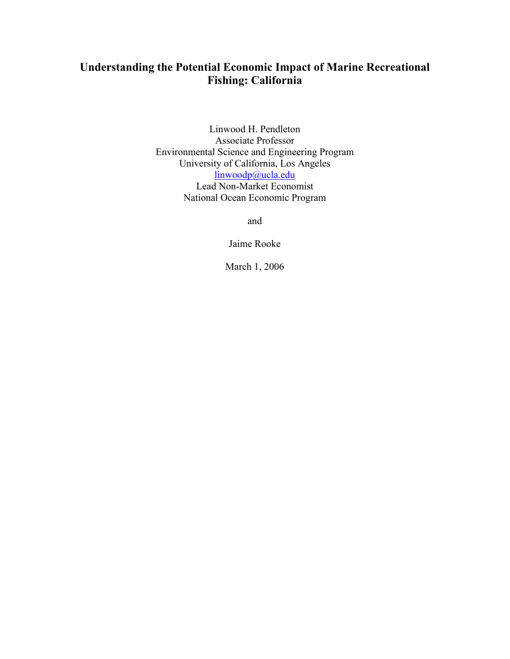# **Understanding the Potential Economic Impact of Marine Recreational Fishing: California**

Linwood H. Pendleton Associate Professor Environmental Science and Engineering Program University of California, Los Angeles linwoodp@ucla.edu Lead Non-Market Economist National Ocean Economic Program

and

Jaime Rooke

March 1, 2006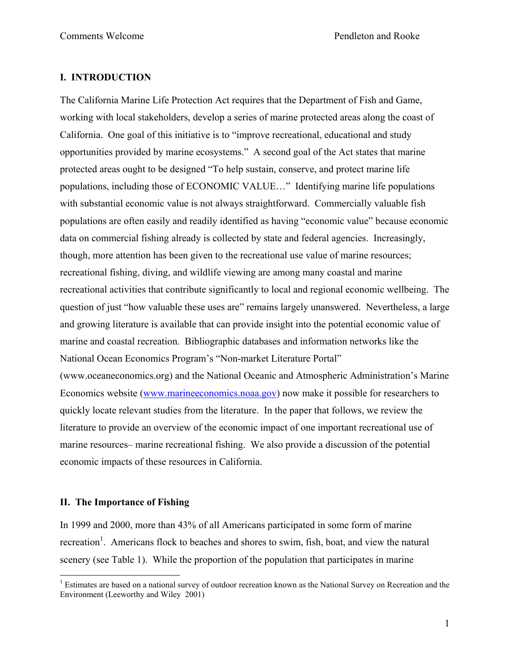# **I. INTRODUCTION**

The California Marine Life Protection Act requires that the Department of Fish and Game, working with local stakeholders, develop a series of marine protected areas along the coast of California. One goal of this initiative is to "improve recreational, educational and study opportunities provided by marine ecosystems." A second goal of the Act states that marine protected areas ought to be designed "To help sustain, conserve, and protect marine life populations, including those of ECONOMIC VALUE…" Identifying marine life populations with substantial economic value is not always straightforward. Commercially valuable fish populations are often easily and readily identified as having "economic value" because economic data on commercial fishing already is collected by state and federal agencies. Increasingly, though, more attention has been given to the recreational use value of marine resources; recreational fishing, diving, and wildlife viewing are among many coastal and marine recreational activities that contribute significantly to local and regional economic wellbeing. The question of just "how valuable these uses are" remains largely unanswered. Nevertheless, a large and growing literature is available that can provide insight into the potential economic value of marine and coastal recreation. Bibliographic databases and information networks like the National Ocean Economics Program's "Non-market Literature Portal" (www.oceaneconomics.org) and the National Oceanic and Atmospheric Administration's Marine Economics website (www.marineeconomics.noaa.gov) now make it possible for researchers to quickly locate relevant studies from the literature. In the paper that follows, we review the literature to provide an overview of the economic impact of one important recreational use of marine resources– marine recreational fishing. We also provide a discussion of the potential economic impacts of these resources in California.

# **II. The Importance of Fishing**

 $\overline{a}$ 

In 1999 and 2000, more than 43% of all Americans participated in some form of marine recreation<sup>1</sup>. Americans flock to beaches and shores to swim, fish, boat, and view the natural scenery (see Table 1). While the proportion of the population that participates in marine

<sup>&</sup>lt;sup>1</sup> Estimates are based on a national survey of outdoor recreation known as the National Survey on Recreation and the Environment (Leeworthy and Wiley 2001)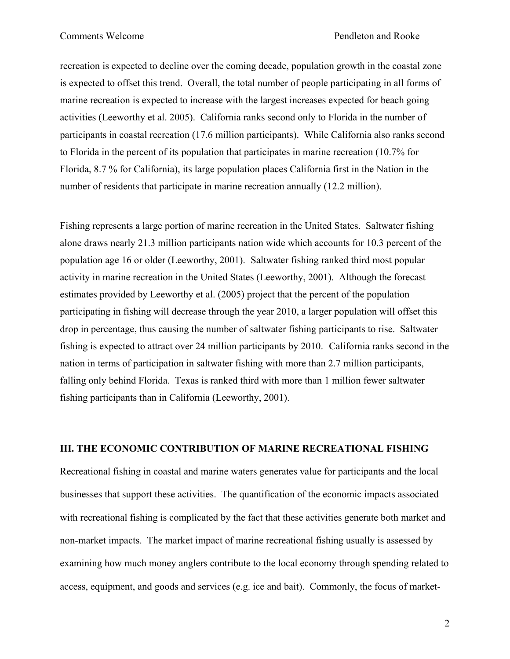recreation is expected to decline over the coming decade, population growth in the coastal zone is expected to offset this trend. Overall, the total number of people participating in all forms of marine recreation is expected to increase with the largest increases expected for beach going activities (Leeworthy et al. 2005). California ranks second only to Florida in the number of participants in coastal recreation (17.6 million participants). While California also ranks second to Florida in the percent of its population that participates in marine recreation (10.7% for Florida, 8.7 % for California), its large population places California first in the Nation in the number of residents that participate in marine recreation annually (12.2 million).

Fishing represents a large portion of marine recreation in the United States. Saltwater fishing alone draws nearly 21.3 million participants nation wide which accounts for 10.3 percent of the population age 16 or older (Leeworthy, 2001). Saltwater fishing ranked third most popular activity in marine recreation in the United States (Leeworthy, 2001). Although the forecast estimates provided by Leeworthy et al. (2005) project that the percent of the population participating in fishing will decrease through the year 2010, a larger population will offset this drop in percentage, thus causing the number of saltwater fishing participants to rise. Saltwater fishing is expected to attract over 24 million participants by 2010. California ranks second in the nation in terms of participation in saltwater fishing with more than 2.7 million participants, falling only behind Florida. Texas is ranked third with more than 1 million fewer saltwater fishing participants than in California (Leeworthy, 2001).

# **III. THE ECONOMIC CONTRIBUTION OF MARINE RECREATIONAL FISHING**

Recreational fishing in coastal and marine waters generates value for participants and the local businesses that support these activities. The quantification of the economic impacts associated with recreational fishing is complicated by the fact that these activities generate both market and non-market impacts. The market impact of marine recreational fishing usually is assessed by examining how much money anglers contribute to the local economy through spending related to access, equipment, and goods and services (e.g. ice and bait). Commonly, the focus of market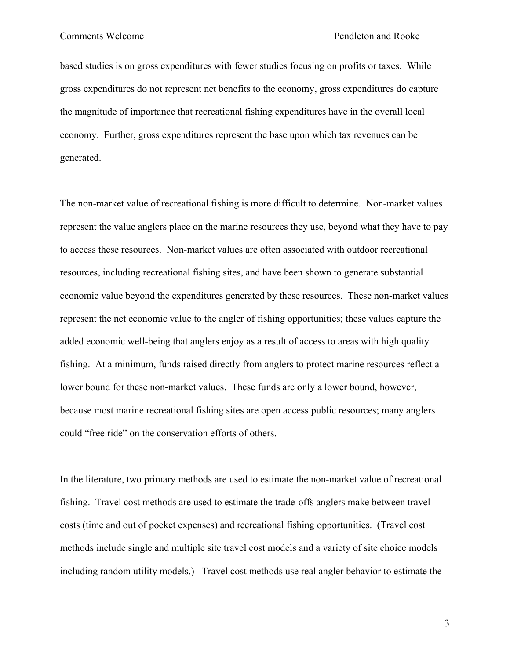based studies is on gross expenditures with fewer studies focusing on profits or taxes. While gross expenditures do not represent net benefits to the economy, gross expenditures do capture the magnitude of importance that recreational fishing expenditures have in the overall local economy. Further, gross expenditures represent the base upon which tax revenues can be generated.

The non-market value of recreational fishing is more difficult to determine. Non-market values represent the value anglers place on the marine resources they use, beyond what they have to pay to access these resources. Non-market values are often associated with outdoor recreational resources, including recreational fishing sites, and have been shown to generate substantial economic value beyond the expenditures generated by these resources. These non-market values represent the net economic value to the angler of fishing opportunities; these values capture the added economic well-being that anglers enjoy as a result of access to areas with high quality fishing. At a minimum, funds raised directly from anglers to protect marine resources reflect a lower bound for these non-market values. These funds are only a lower bound, however, because most marine recreational fishing sites are open access public resources; many anglers could "free ride" on the conservation efforts of others.

In the literature, two primary methods are used to estimate the non-market value of recreational fishing. Travel cost methods are used to estimate the trade-offs anglers make between travel costs (time and out of pocket expenses) and recreational fishing opportunities. (Travel cost methods include single and multiple site travel cost models and a variety of site choice models including random utility models.) Travel cost methods use real angler behavior to estimate the

3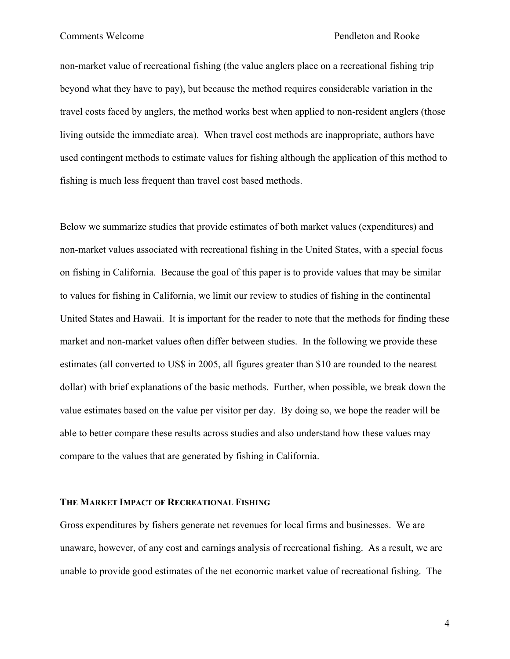non-market value of recreational fishing (the value anglers place on a recreational fishing trip beyond what they have to pay), but because the method requires considerable variation in the travel costs faced by anglers, the method works best when applied to non-resident anglers (those living outside the immediate area). When travel cost methods are inappropriate, authors have used contingent methods to estimate values for fishing although the application of this method to fishing is much less frequent than travel cost based methods.

Below we summarize studies that provide estimates of both market values (expenditures) and non-market values associated with recreational fishing in the United States, with a special focus on fishing in California. Because the goal of this paper is to provide values that may be similar to values for fishing in California, we limit our review to studies of fishing in the continental United States and Hawaii. It is important for the reader to note that the methods for finding these market and non-market values often differ between studies. In the following we provide these estimates (all converted to US\$ in 2005, all figures greater than \$10 are rounded to the nearest dollar) with brief explanations of the basic methods. Further, when possible, we break down the value estimates based on the value per visitor per day. By doing so, we hope the reader will be able to better compare these results across studies and also understand how these values may compare to the values that are generated by fishing in California.

### **THE MARKET IMPACT OF RECREATIONAL FISHING**

Gross expenditures by fishers generate net revenues for local firms and businesses. We are unaware, however, of any cost and earnings analysis of recreational fishing. As a result, we are unable to provide good estimates of the net economic market value of recreational fishing. The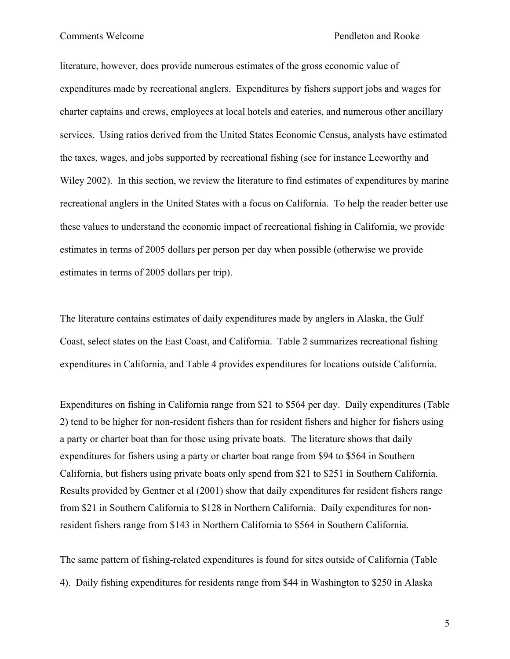literature, however, does provide numerous estimates of the gross economic value of expenditures made by recreational anglers. Expenditures by fishers support jobs and wages for charter captains and crews, employees at local hotels and eateries, and numerous other ancillary services. Using ratios derived from the United States Economic Census, analysts have estimated the taxes, wages, and jobs supported by recreational fishing (see for instance Leeworthy and Wiley 2002). In this section, we review the literature to find estimates of expenditures by marine recreational anglers in the United States with a focus on California. To help the reader better use these values to understand the economic impact of recreational fishing in California, we provide estimates in terms of 2005 dollars per person per day when possible (otherwise we provide estimates in terms of 2005 dollars per trip).

The literature contains estimates of daily expenditures made by anglers in Alaska, the Gulf Coast, select states on the East Coast, and California. Table 2 summarizes recreational fishing expenditures in California, and Table 4 provides expenditures for locations outside California.

Expenditures on fishing in California range from \$21 to \$564 per day. Daily expenditures (Table 2) tend to be higher for non-resident fishers than for resident fishers and higher for fishers using a party or charter boat than for those using private boats. The literature shows that daily expenditures for fishers using a party or charter boat range from \$94 to \$564 in Southern California, but fishers using private boats only spend from \$21 to \$251 in Southern California. Results provided by Gentner et al (2001) show that daily expenditures for resident fishers range from \$21 in Southern California to \$128 in Northern California. Daily expenditures for nonresident fishers range from \$143 in Northern California to \$564 in Southern California.

The same pattern of fishing-related expenditures is found for sites outside of California (Table 4). Daily fishing expenditures for residents range from \$44 in Washington to \$250 in Alaska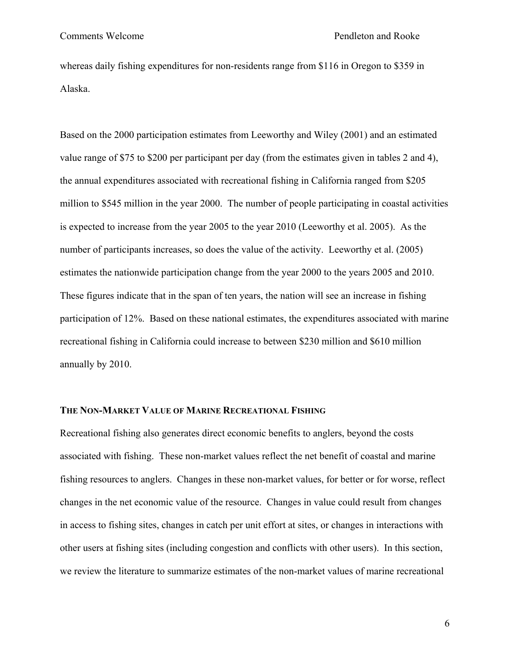whereas daily fishing expenditures for non-residents range from \$116 in Oregon to \$359 in Alaska.

Based on the 2000 participation estimates from Leeworthy and Wiley (2001) and an estimated value range of \$75 to \$200 per participant per day (from the estimates given in tables 2 and 4), the annual expenditures associated with recreational fishing in California ranged from \$205 million to \$545 million in the year 2000. The number of people participating in coastal activities is expected to increase from the year 2005 to the year 2010 (Leeworthy et al. 2005). As the number of participants increases, so does the value of the activity. Leeworthy et al. (2005) estimates the nationwide participation change from the year 2000 to the years 2005 and 2010. These figures indicate that in the span of ten years, the nation will see an increase in fishing participation of 12%. Based on these national estimates, the expenditures associated with marine recreational fishing in California could increase to between \$230 million and \$610 million annually by 2010.

## **THE NON-MARKET VALUE OF MARINE RECREATIONAL FISHING**

Recreational fishing also generates direct economic benefits to anglers, beyond the costs associated with fishing. These non-market values reflect the net benefit of coastal and marine fishing resources to anglers. Changes in these non-market values, for better or for worse, reflect changes in the net economic value of the resource. Changes in value could result from changes in access to fishing sites, changes in catch per unit effort at sites, or changes in interactions with other users at fishing sites (including congestion and conflicts with other users). In this section, we review the literature to summarize estimates of the non-market values of marine recreational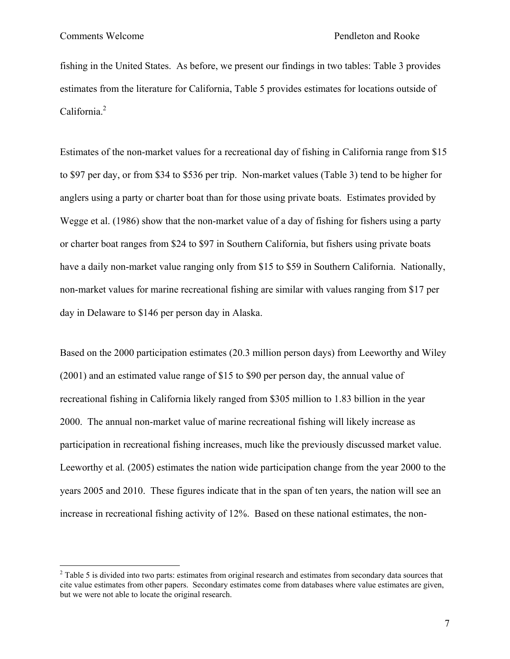$\overline{a}$ 

fishing in the United States. As before, we present our findings in two tables: Table 3 provides estimates from the literature for California, Table 5 provides estimates for locations outside of California.<sup>2</sup>

Estimates of the non-market values for a recreational day of fishing in California range from \$15 to \$97 per day, or from \$34 to \$536 per trip. Non-market values (Table 3) tend to be higher for anglers using a party or charter boat than for those using private boats. Estimates provided by Wegge et al. (1986) show that the non-market value of a day of fishing for fishers using a party or charter boat ranges from \$24 to \$97 in Southern California, but fishers using private boats have a daily non-market value ranging only from \$15 to \$59 in Southern California. Nationally, non-market values for marine recreational fishing are similar with values ranging from \$17 per day in Delaware to \$146 per person day in Alaska.

Based on the 2000 participation estimates (20.3 million person days) from Leeworthy and Wiley (2001) and an estimated value range of \$15 to \$90 per person day, the annual value of recreational fishing in California likely ranged from \$305 million to 1.83 billion in the year 2000. The annual non-market value of marine recreational fishing will likely increase as participation in recreational fishing increases, much like the previously discussed market value. Leeworthy et al*.* (2005) estimates the nation wide participation change from the year 2000 to the years 2005 and 2010. These figures indicate that in the span of ten years, the nation will see an increase in recreational fishing activity of 12%. Based on these national estimates, the non-

 $2^2$  Table 5 is divided into two parts: estimates from original research and estimates from secondary data sources that cite value estimates from other papers. Secondary estimates come from databases where value estimates are given, but we were not able to locate the original research.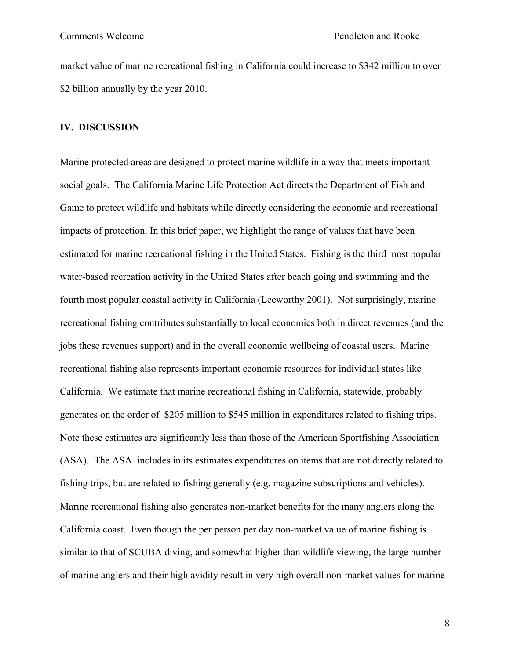market value of marine recreational fishing in California could increase to \$342 million to over \$2 billion annually by the year 2010.

## **IV. DISCUSSION**

Marine protected areas are designed to protect marine wildlife in a way that meets important social goals. The California Marine Life Protection Act directs the Department of Fish and Game to protect wildlife and habitats while directly considering the economic and recreational impacts of protection. In this brief paper, we highlight the range of values that have been estimated for marine recreational fishing in the United States. Fishing is the third most popular water-based recreation activity in the United States after beach going and swimming and the fourth most popular coastal activity in California (Leeworthy 2001). Not surprisingly, marine recreational fishing contributes substantially to local economies both in direct revenues (and the jobs these revenues support) and in the overall economic wellbeing of coastal users. Marine recreational fishing also represents important economic resources for individual states like California. We estimate that marine recreational fishing in California, statewide, probably generates on the order of \$205 million to \$545 million in expenditures related to fishing trips. Note these estimates are significantly less than those of the American Sportfishing Association (ASA). The ASA includes in its estimates expenditures on items that are not directly related to fishing trips, but are related to fishing generally (e.g. magazine subscriptions and vehicles). Marine recreational fishing also generates non-market benefits for the many anglers along the California coast. Even though the per person per day non-market value of marine fishing is similar to that of SCUBA diving, and somewhat higher than wildlife viewing, the large number of marine anglers and their high avidity result in very high overall non-market values for marine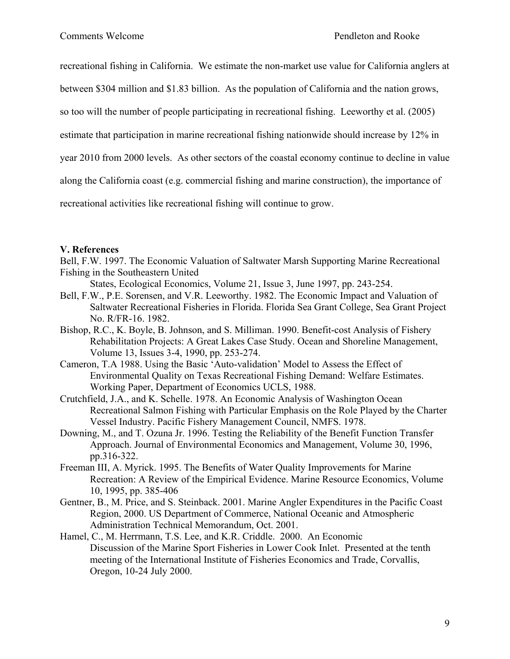recreational fishing in California. We estimate the non-market use value for California anglers at

between \$304 million and \$1.83 billion. As the population of California and the nation grows,

so too will the number of people participating in recreational fishing. Leeworthy et al. (2005)

estimate that participation in marine recreational fishing nationwide should increase by 12% in

year 2010 from 2000 levels. As other sectors of the coastal economy continue to decline in value

along the California coast (e.g. commercial fishing and marine construction), the importance of

recreational activities like recreational fishing will continue to grow.

# **V. References**

Bell, F.W. 1997. The Economic Valuation of Saltwater Marsh Supporting Marine Recreational Fishing in the Southeastern United

States, Ecological Economics, Volume 21, Issue 3, June 1997, pp. 243-254.

- Bell, F.W., P.E. Sorensen, and V.R. Leeworthy. 1982. The Economic Impact and Valuation of Saltwater Recreational Fisheries in Florida. Florida Sea Grant College, Sea Grant Project No. R/FR-16. 1982.
- Bishop, R.C., K. Boyle, B. Johnson, and S. Milliman. 1990. Benefit-cost Analysis of Fishery Rehabilitation Projects: A Great Lakes Case Study. Ocean and Shoreline Management, Volume 13, Issues 3-4, 1990, pp. 253-274.
- Cameron, T.A 1988. Using the Basic 'Auto-validation' Model to Assess the Effect of Environmental Quality on Texas Recreational Fishing Demand: Welfare Estimates. Working Paper, Department of Economics UCLS, 1988.
- Crutchfield, J.A., and K. Schelle. 1978. An Economic Analysis of Washington Ocean Recreational Salmon Fishing with Particular Emphasis on the Role Played by the Charter Vessel Industry. Pacific Fishery Management Council, NMFS. 1978.
- Downing, M., and T. Ozuna Jr. 1996. Testing the Reliability of the Benefit Function Transfer Approach. Journal of Environmental Economics and Management, Volume 30, 1996, pp.316-322.
- Freeman III, A. Myrick. 1995. The Benefits of Water Quality Improvements for Marine Recreation: A Review of the Empirical Evidence. Marine Resource Economics, Volume 10, 1995, pp. 385-406
- Gentner, B., M. Price, and S. Steinback. 2001. Marine Angler Expenditures in the Pacific Coast Region, 2000. US Department of Commerce, National Oceanic and Atmospheric Administration Technical Memorandum, Oct. 2001.

Hamel, C., M. Herrmann, T.S. Lee, and K.R. Criddle. 2000. An Economic Discussion of the Marine Sport Fisheries in Lower Cook Inlet. Presented at the tenth meeting of the International Institute of Fisheries Economics and Trade, Corvallis, Oregon, 10-24 July 2000.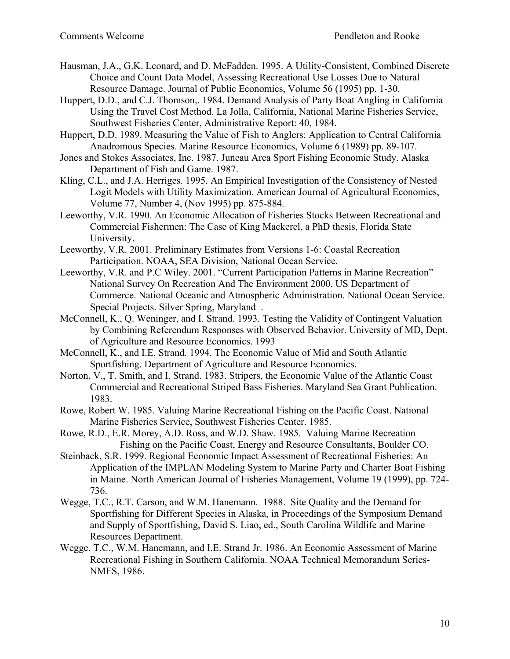- Hausman, J.A., G.K. Leonard, and D. McFadden. 1995. A Utility-Consistent, Combined Discrete Choice and Count Data Model, Assessing Recreational Use Losses Due to Natural Resource Damage. Journal of Public Economics, Volume 56 (1995) pp. 1-30.
- Huppert, D.D., and C.J. Thomson,. 1984. Demand Analysis of Party Boat Angling in California Using the Travel Cost Method. La Jolla, California, National Marine Fisheries Service, Southwest Fisheries Center, Administrative Report: 40, 1984.
- Huppert, D.D. 1989. Measuring the Value of Fish to Anglers: Application to Central California Anadromous Species. Marine Resource Economics, Volume 6 (1989) pp. 89-107.
- Jones and Stokes Associates, Inc. 1987. Juneau Area Sport Fishing Economic Study. Alaska Department of Fish and Game. 1987.
- Kling, C.L., and J.A. Herriges. 1995. An Empirical Investigation of the Consistency of Nested Logit Models with Utility Maximization. American Journal of Agricultural Economics, Volume 77, Number 4, (Nov 1995) pp. 875-884.
- Leeworthy, V.R. 1990. An Economic Allocation of Fisheries Stocks Between Recreational and Commercial Fishermen: The Case of King Mackerel, a PhD thesis, Florida State University.
- Leeworthy, V.R. 2001. Preliminary Estimates from Versions 1-6: Coastal Recreation Participation. NOAA, SEA Division, National Ocean Service.
- Leeworthy, V.R. and P.C Wiley. 2001. "Current Participation Patterns in Marine Recreation" National Survey On Recreation And The Environment 2000. US Department of Commerce. National Oceanic and Atmospheric Administration. National Ocean Service. Special Projects. Silver Spring, Maryland .
- McConnell, K., Q. Weninger, and I. Strand. 1993. Testing the Validity of Contingent Valuation by Combining Referendum Responses with Observed Behavior. University of MD, Dept. of Agriculture and Resource Economics. 1993
- McConnell, K., and I.E. Strand. 1994. The Economic Value of Mid and South Atlantic Sportfishing. Department of Agriculture and Resource Economics.
- Norton, V., T. Smith, and I. Strand. 1983. Stripers, the Economic Value of the Atlantic Coast Commercial and Recreational Striped Bass Fisheries. Maryland Sea Grant Publication. 1983.
- Rowe, Robert W. 1985. Valuing Marine Recreational Fishing on the Pacific Coast. National Marine Fisheries Service, Southwest Fisheries Center. 1985.
- Rowe, R.D., E.R. Morey, A.D. Ross, and W.D. Shaw. 1985. Valuing Marine Recreation Fishing on the Pacific Coast, Energy and Resource Consultants, Boulder CO.
- Steinback, S.R. 1999. Regional Economic Impact Assessment of Recreational Fisheries: An Application of the IMPLAN Modeling System to Marine Party and Charter Boat Fishing in Maine. North American Journal of Fisheries Management, Volume 19 (1999), pp. 724- 736.
- Wegge, T.C., R.T. Carson, and W.M. Hanemann. 1988. Site Quality and the Demand for Sportfishing for Different Species in Alaska, in Proceedings of the Symposium Demand and Supply of Sportfishing, David S. Liao, ed., South Carolina Wildlife and Marine Resources Department.
- Wegge, T.C., W.M. Hanemann, and I.E. Strand Jr. 1986. An Economic Assessment of Marine Recreational Fishing in Southern California. NOAA Technical Memorandum Series-NMFS, 1986.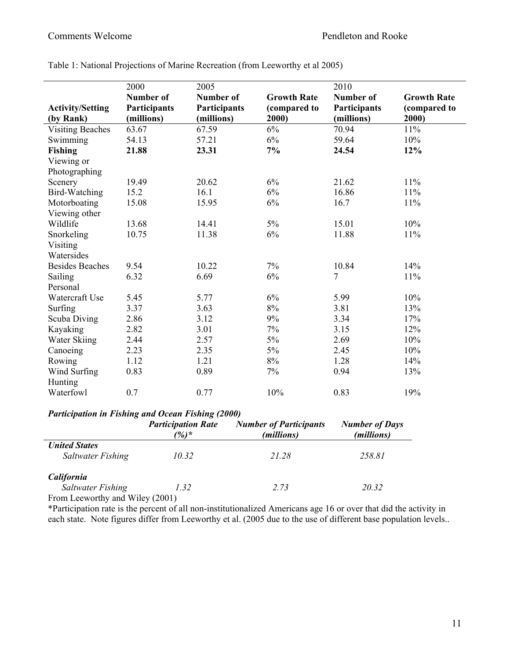|                         | 2000             | 2005             |                    | 2010           |                    |
|-------------------------|------------------|------------------|--------------------|----------------|--------------------|
|                         | <b>Number of</b> | <b>Number of</b> | <b>Growth Rate</b> | Number of      | <b>Growth Rate</b> |
| <b>Activity/Setting</b> | Participants     | Participants     | (compared to       | Participants   | (compared to       |
| (by Rank)               | (millions)       | (millions)       | 2000)              | (millions)     | 2000)              |
| <b>Visiting Beaches</b> | 63.67            | 67.59            | 6%                 | 70.94          | 11%                |
| Swimming                | 54.13            | 57.21            | $6\%$              | 59.64          | 10%                |
| <b>Fishing</b>          | 21.88            | 23.31            | 7%                 | 24.54          | 12%                |
| Viewing or              |                  |                  |                    |                |                    |
| Photographing           |                  |                  |                    |                |                    |
| Scenery                 | 19.49            | 20.62            | 6%                 | 21.62          | 11%                |
| <b>Bird-Watching</b>    | 15.2             | 16.1             | 6%                 | 16.86          | 11%                |
| Motorboating            | 15.08            | 15.95            | 6%                 | 16.7           | 11%                |
| Viewing other           |                  |                  |                    |                |                    |
| Wildlife                | 13.68            | 14.41            | 5%                 | 15.01          | 10%                |
| Snorkeling              | 10.75            | 11.38            | 6%                 | 11.88          | 11%                |
| Visiting                |                  |                  |                    |                |                    |
| Watersides              |                  |                  |                    |                |                    |
| <b>Besides Beaches</b>  | 9.54             | 10.22            | 7%                 | 10.84          | 14%                |
| <b>Sailing</b>          | 6.32             | 6.69             | 6%                 | $\overline{7}$ | 11%                |
| Personal                |                  |                  |                    |                |                    |
| Watercraft Use          | 5.45             | 5.77             | 6%                 | 5.99           | 10%                |
| Surfing                 | 3.37             | 3.63             | 8%                 | 3.81           | 13%                |
| Scuba Diving            | 2.86             | 3.12             | 9%                 | 3.34           | 17%                |
| Kayaking                | 2.82             | 3.01             | 7%                 | 3.15           | 12%                |
| Water Skiing            | 2.44             | 2.57             | $5\%$              | 2.69           | 10%                |
| Canoeing                | 2.23             | 2.35             | 5%                 | 2.45           | 10%                |
| Rowing                  | 1.12             | 1.21             | $8\%$              | 1.28           | 14%                |
| Wind Surfing            | 0.83             | 0.89             | 7%                 | 0.94           | 13%                |
| Hunting                 |                  |                  |                    |                |                    |
| Waterfowl               | 0.7              | 0.77             | 10%                | 0.83           | 19%                |

Table 1: National Projections of Marine Recreation (from Leeworthy et al 2005)

# *Participation in Fishing and Ocean Fishing (2000)*

|                                                                                                                                           | <b>Participation Rate</b><br>$\frac{1}{2}$ | <b>Number of Participants</b><br>(millions) | <b>Number of Days</b><br>(millions) |
|-------------------------------------------------------------------------------------------------------------------------------------------|--------------------------------------------|---------------------------------------------|-------------------------------------|
| <b>United States</b><br>Saltwater Fishing                                                                                                 | 10.32                                      | 21.28                                       | 258.81                              |
| California<br>Saltwater Fishing<br>$\Gamma_{\text{max}}$ $\Gamma_{\text{max}}$ $\text{min}_{\text{max}}$ $\text{min}_{\text{max}}$ (2001) | 1.32                                       | 2.73                                        | 20.32                               |

From Leeworthy and Wiley (2001)

\*Participation rate is the percent of all non-institutionalized Americans age 16 or over that did the activity in each state. Note figures differ from Leeworthy et al. (2005 due to the use of different base population levels..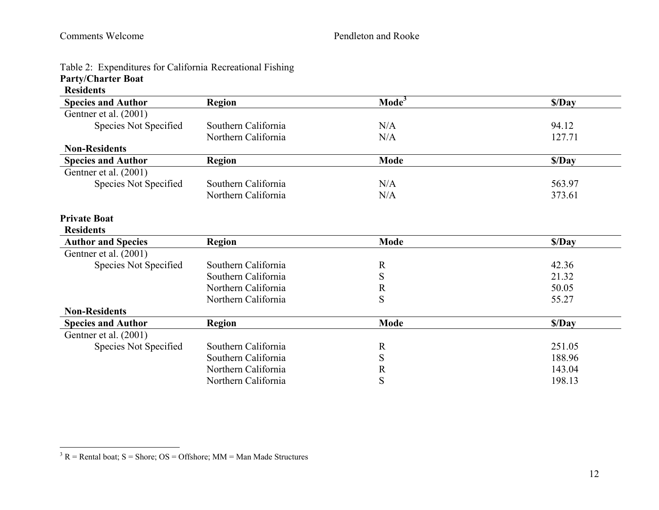|  | Table 2: Expenditures for California Recreational Fishing |  |  |  |  |
|--|-----------------------------------------------------------|--|--|--|--|
|--|-----------------------------------------------------------|--|--|--|--|

# **Party/Charter Boat**

|  | <b>Residents</b> |
|--|------------------|
|  |                  |

| <b>Species and Author</b> | <b>Region</b>       | Mode <sup>3</sup> | \$/Day |
|---------------------------|---------------------|-------------------|--------|
| Gentner et al. (2001)     |                     |                   |        |
| Species Not Specified     | Southern California | N/A               | 94.12  |
|                           | Northern California | N/A               | 127.71 |
| <b>Non-Residents</b>      |                     |                   |        |
| <b>Species and Author</b> | <b>Region</b>       | <b>Mode</b>       | S/Day  |
| Gentner et al. (2001)     |                     |                   |        |
| Species Not Specified     | Southern California | N/A               | 563.97 |
|                           | Northern California | N/A               | 373.61 |
| <b>Private Boat</b>       |                     |                   |        |
| <b>Residents</b>          |                     |                   |        |
| <b>Author and Species</b> | <b>Region</b>       | <b>Mode</b>       | \$/Day |
| Gentner et al. (2001)     |                     |                   |        |
| Species Not Specified     | Southern California | $\mathbf R$       | 42.36  |
|                           | Southern California | S                 | 21.32  |
|                           | Northern California | $\mathbb{R}$      | 50.05  |
|                           | Northern California | S                 | 55.27  |
| <b>Non-Residents</b>      |                     |                   |        |
| <b>Species and Author</b> | <b>Region</b>       | <b>Mode</b>       | \$/Day |
| Gentner et al. (2001)     |                     |                   |        |
| Species Not Specified     | Southern California | $\mathbf R$       | 251.05 |
|                           | Southern California | S                 | 188.96 |
|                           | Northern California | $\mathbf R$       | 143.04 |
|                           | Northern California | S                 | 198.13 |

 $\overline{3}$  R = Rental boat; S = Shore; OS = Offshore; MM = Man Made Structures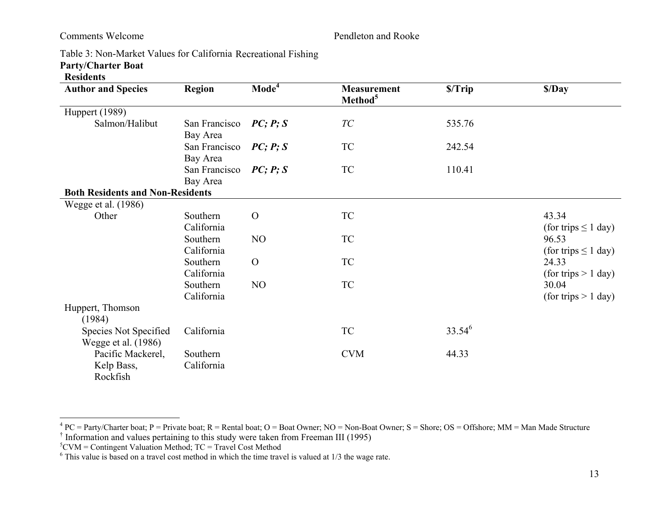Table 3: Non-Market Values for California Recreational Fishing **Party/Charter Boat** 

### **Residents**

| <b>Author and Species</b>                    | <b>Region</b>             | $\mathbf{Mode}^{\mathbf{4}}$ | <b>Measurement</b><br>Method <sup>5</sup> | \$/Trip     | \$/Day                            |
|----------------------------------------------|---------------------------|------------------------------|-------------------------------------------|-------------|-----------------------------------|
| <b>Huppert</b> (1989)                        |                           |                              |                                           |             |                                   |
| Salmon/Halibut                               | San Francisco<br>Bay Area | PC; P; S                     | $\mathcal{TC}$                            | 535.76      |                                   |
|                                              | San Francisco<br>Bay Area | PC; P; S                     | TC                                        | 242.54      |                                   |
|                                              | San Francisco<br>Bay Area | PC; P; S                     | TC                                        | 110.41      |                                   |
| <b>Both Residents and Non-Residents</b>      |                           |                              |                                           |             |                                   |
| Wegge et al. (1986)                          |                           |                              |                                           |             |                                   |
| Other                                        | Southern<br>California    | $\Omega$                     | TC                                        |             | 43.34<br>(for trips $\leq 1$ day) |
|                                              | Southern<br>California    | NO                           | TC                                        |             | 96.53<br>(for trips $\leq 1$ day) |
|                                              | Southern<br>California    | $\overline{O}$               | TC                                        |             | 24.33<br>(for trips $> 1$ day)    |
|                                              | Southern<br>California    | NO                           | <b>TC</b>                                 |             | 30.04<br>(for trips $> 1$ day)    |
| Huppert, Thomson<br>(1984)                   |                           |                              |                                           |             |                                   |
| Species Not Specified<br>Wegge et al. (1986) | California                |                              | TC                                        | $33.54^{6}$ |                                   |
| Pacific Mackerel,<br>Kelp Bass,<br>Rockfish  | Southern<br>California    |                              | <b>CVM</b>                                | 44.33       |                                   |

<sup>&</sup>lt;sup>4</sup> PC = Party/Charter boat; P = Private boat; R = Rental boat; O = Boat Owner; NO = Non-Boat Owner; S = Shore; OS = Offshore; MM = Man Made Structure

 ${}^5$ CVM = Contingent Valuation Method; TC = Travel Cost Method

 $6$  This value is based on a travel cost method in which the time travel is valued at  $1/3$  the wage rate.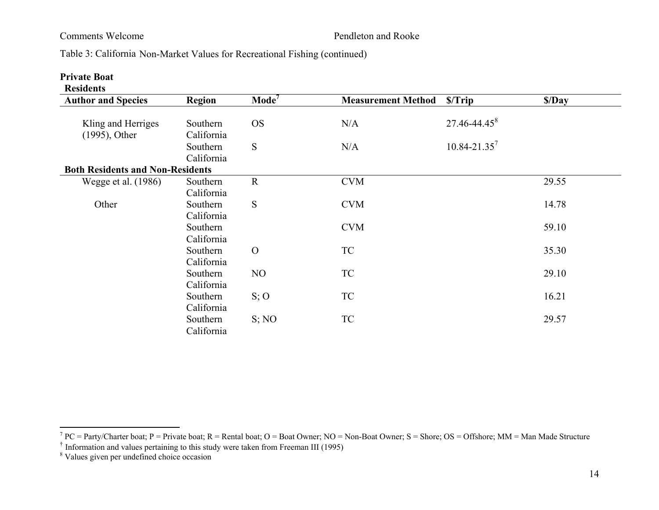Table 3: California Non-Market Values for Recreational Fishing (continued)

### **Private Boat**

| <b>Author and Species</b>               | Region     | $\mathbf{Mode}^7$ | <b>Measurement Method</b> | S/Trip                       | \$/Day |
|-----------------------------------------|------------|-------------------|---------------------------|------------------------------|--------|
|                                         |            |                   |                           |                              |        |
| Kling and Herriges                      | Southern   | <b>OS</b>         | N/A                       | $27.46 - 44.45$ <sup>8</sup> |        |
| $(1995)$ , Other                        | California |                   |                           |                              |        |
|                                         | Southern   | S                 | N/A                       | $10.84 - 21.35^7$            |        |
|                                         | California |                   |                           |                              |        |
| <b>Both Residents and Non-Residents</b> |            |                   |                           |                              |        |
| Wegge et al. (1986)                     | Southern   | $\mathbf R$       | <b>CVM</b>                |                              | 29.55  |
|                                         | California |                   |                           |                              |        |
| Other                                   | Southern   | S                 | <b>CVM</b>                |                              | 14.78  |
|                                         | California |                   |                           |                              |        |
|                                         | Southern   |                   | <b>CVM</b>                |                              | 59.10  |
|                                         | California |                   |                           |                              |        |
|                                         | Southern   | $\Omega$          | <b>TC</b>                 |                              | 35.30  |
|                                         | California |                   |                           |                              |        |
|                                         | Southern   | NO                | TC                        |                              | 29.10  |
|                                         | California |                   |                           |                              |        |
|                                         | Southern   | S; O              | <b>TC</b>                 |                              | 16.21  |
|                                         | California |                   |                           |                              |        |
|                                         | Southern   | S; NO             | TC                        |                              | 29.57  |
|                                         | California |                   |                           |                              |        |

<sup>&</sup>lt;sup>7</sup> PC = Party/Charter boat; P = Private boat; R = Rental boat; O = Boat Owner; NO = Non-Boat Owner; S = Shore; OS = Offshore; MM = Man Made Structure  $\dagger$  Information and values pertaining to this study were taken from

<sup>&</sup>lt;sup>8</sup> Values given per undefined choice occasion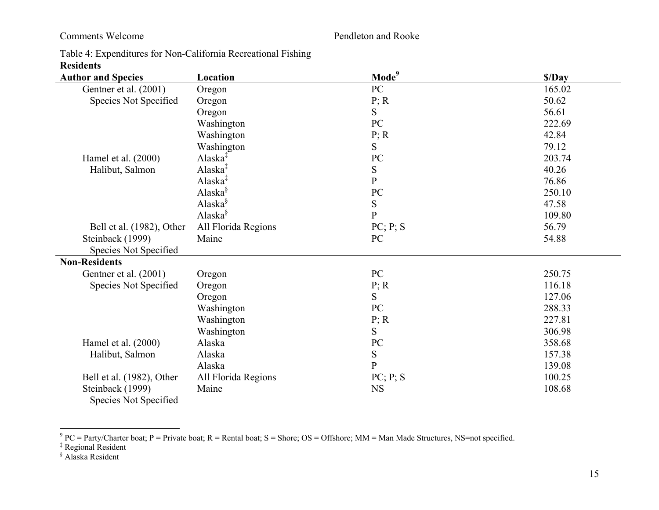| Table 4: Expenditures for Non-California Recreational Fishing |  |
|---------------------------------------------------------------|--|
| <b>Residents</b>                                              |  |

| <b>INCONDUCITIES</b><br><b>Author and Species</b> | Location            | $\textbf{Mode}^9$ | \$/Day |
|---------------------------------------------------|---------------------|-------------------|--------|
| Gentner et al. (2001)                             | Oregon              | ${\bf P}{\bf C}$  | 165.02 |
| Species Not Specified                             | Oregon              | P; R              | 50.62  |
|                                                   | Oregon              | S                 | 56.61  |
|                                                   | Washington          | PC                | 222.69 |
|                                                   | Washington          | P; R              | 42.84  |
|                                                   | Washington          | S                 | 79.12  |
| Hamel et al. (2000)                               | Alaska <sup>‡</sup> | ${\rm P}{\bf C}$  | 203.74 |
| Halibut, Salmon                                   | Alaska $\ddagger$   | ${\bf S}$         | 40.26  |
|                                                   | Alaska <sup>‡</sup> | $\overline{P}$    | 76.86  |
|                                                   | Alaska <sup>§</sup> | ${\rm P}{\bf C}$  | 250.10 |
|                                                   | Alaska <sup>§</sup> | ${\bf S}$         | 47.58  |
|                                                   | Alaska <sup>§</sup> | $\mathbf{P}$      | 109.80 |
| Bell et al. (1982), Other                         | All Florida Regions | PC; P; S          | 56.79  |
| Steinback (1999)                                  | Maine               | PC                | 54.88  |
| Species Not Specified                             |                     |                   |        |
| <b>Non-Residents</b>                              |                     |                   |        |
| Gentner et al. (2001)                             | Oregon              | $\rm{PC}$         | 250.75 |
| Species Not Specified                             | Oregon              | P; R              | 116.18 |
|                                                   | Oregon              | S                 | 127.06 |
|                                                   | Washington          | PC                | 288.33 |
|                                                   | Washington          | P; R              | 227.81 |
|                                                   | Washington          | S                 | 306.98 |
| Hamel et al. (2000)                               | Alaska              | ${\rm P}{\bf C}$  | 358.68 |
| Halibut, Salmon                                   | Alaska              | ${\bf S}$         | 157.38 |
|                                                   | Alaska              | $\overline{P}$    | 139.08 |
| Bell et al. (1982), Other                         | All Florida Regions | PC; P; S          | 100.25 |
| Steinback (1999)<br>Species Not Specified         | Maine               | <b>NS</b>         | 108.68 |

<sup>9</sup> PC = Party/Charter boat; P = Private boat; R = Rental boat; S = Shore; OS = Offshore; MM = Man Made Structures, NS=not specified.  $\frac{1}{4}$  Regional Resident

<sup>§</sup> Alaska Resident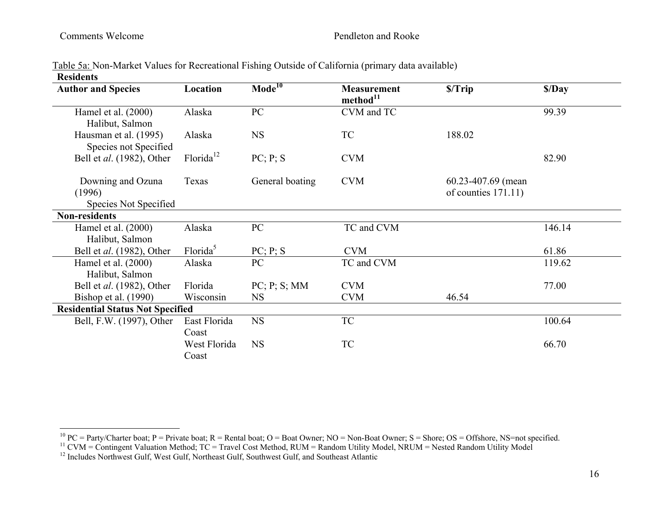|                  | Table 5a: Non-Market Values for Recreational Fishing Outside of California (primary data available) |  |  |
|------------------|-----------------------------------------------------------------------------------------------------|--|--|
| <b>Residents</b> |                                                                                                     |  |  |

| <b>Author and Species</b>                            | Location              | $\mathbf{Mode}^{\overline{10}}$ | <b>Measurement</b><br>method <sup>11</sup> | \$/Trip                                    | \$/Day |
|------------------------------------------------------|-----------------------|---------------------------------|--------------------------------------------|--------------------------------------------|--------|
| Hamel et al. (2000)<br>Halibut, Salmon               | Alaska                | PC                              | CVM and TC                                 |                                            | 99.39  |
| Hausman et al. (1995)<br>Species not Specified       | Alaska                | <b>NS</b>                       | TC                                         | 188.02                                     |        |
| Bell et <i>al.</i> (1982), Other                     | Florida <sup>12</sup> | PC; P; S                        | <b>CVM</b>                                 |                                            | 82.90  |
| Downing and Ozuna<br>(1996)<br>Species Not Specified | Texas                 | General boating                 | <b>CVM</b>                                 | 60.23-407.69 (mean)<br>of counties 171.11) |        |
| <b>Non-residents</b>                                 |                       |                                 |                                            |                                            |        |
| Hamel et al. $(2000)$<br>Halibut, Salmon             | Alaska                | PC                              | TC and CVM                                 |                                            | 146.14 |
| Bell et al. (1982), Other                            | Florida <sup>5</sup>  | PC; P; S                        | <b>CVM</b>                                 |                                            | 61.86  |
| Hamel et al. $(2000)$<br>Halibut, Salmon             | Alaska                | PC                              | TC and CVM                                 |                                            | 119.62 |
| Bell et <i>al.</i> (1982), Other                     | Florida               | PC; P; S; MM                    | <b>CVM</b>                                 |                                            | 77.00  |
| Bishop et al. (1990)                                 | Wisconsin             | <b>NS</b>                       | <b>CVM</b>                                 | 46.54                                      |        |
| <b>Residential Status Not Specified</b>              |                       |                                 |                                            |                                            |        |
| Bell, F.W. (1997), Other                             | East Florida<br>Coast | <b>NS</b>                       | <b>TC</b>                                  |                                            | 100.64 |
|                                                      | West Florida<br>Coast | <b>NS</b>                       | <b>TC</b>                                  |                                            | 66.70  |

<sup>&</sup>lt;sup>10</sup> PC = Party/Charter boat; P = Private boat; R = Rental boat; O = Boat Owner; NO = Non-Boat Owner; S = Shore; OS = Offshore, NS=not specified.

 $11$  CVM = Contingent Valuation Method; TC = Travel Cost Method, RUM = Random Utility Model, NRUM = Nested Random Utility Model

<sup>&</sup>lt;sup>12</sup> Includes Northwest Gulf, West Gulf, Northeast Gulf, Southwest Gulf, and Southeast Atlantic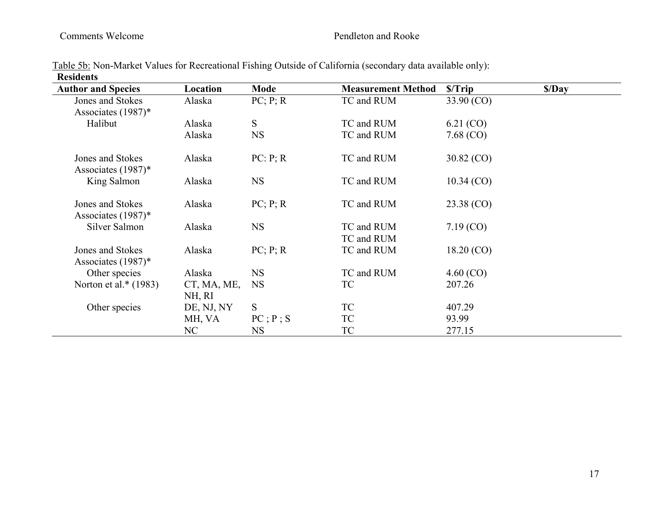| <b>Author and Species</b> | Location    | Mode             | <b>Measurement Method</b> | \$/Trip         | \$/Day |
|---------------------------|-------------|------------------|---------------------------|-----------------|--------|
| Jones and Stokes          | Alaska      | PC; P; R         | TC and RUM                | 33.90 (CO)      |        |
| Associates $(1987)^*$     |             |                  |                           |                 |        |
| Halibut                   | Alaska      | S                | TC and RUM                | 6.21 (CO)       |        |
|                           | Alaska      | <b>NS</b>        | TC and RUM                | 7.68(CO)        |        |
| Jones and Stokes          | Alaska      | PC: P; R         | TC and RUM                | $30.82 \, (CO)$ |        |
| Associates (1987)*        |             |                  |                           |                 |        |
| King Salmon               | Alaska      | <b>NS</b>        | TC and RUM                | $10.34 \,(CO)$  |        |
| Jones and Stokes          | Alaska      | PC; P; R         | TC and RUM                | 23.38 (CO)      |        |
| Associates (1987)*        |             |                  |                           |                 |        |
| Silver Salmon             | Alaska      | <b>NS</b>        | TC and RUM                | $7.19$ (CO)     |        |
|                           |             |                  | TC and RUM                |                 |        |
| Jones and Stokes          | Alaska      | PC; P; R         | TC and RUM                | 18.20(CO)       |        |
| Associates $(1987)^*$     |             |                  |                           |                 |        |
| Other species             | Alaska      | <b>NS</b>        | TC and RUM                | $4.60 \,(CO)$   |        |
| Norton et al.* $(1983)$   | CT, MA, ME, | <b>NS</b>        | TC                        | 207.26          |        |
|                           | NH, RI      |                  |                           |                 |        |
| Other species             | DE, NJ, NY  | <sub>S</sub>     | <b>TC</b>                 | 407.29          |        |
|                           | MH, VA      | $PC$ ; $P$ ; $S$ | TC                        | 93.99           |        |
|                           | NC          | <b>NS</b>        | <b>TC</b>                 | 277.15          |        |

Table 5b: Non-Market Values for Recreational Fishing Outside of California (secondary data available only): **Residents**